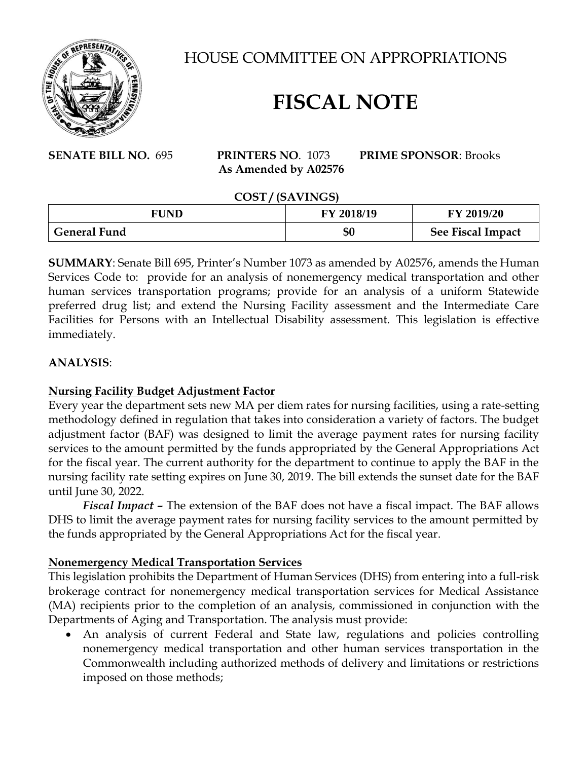

HOUSE COMMITTEE ON APPROPRIATIONS

# **FISCAL NOTE**

**SENATE BILL NO.** 695 **PRINTERS NO**. 1073 **PRIME SPONSOR**: Brooks  **As Amended by A02576**

#### **COST / (SAVINGS)**

| ----<br>.           |            |                   |
|---------------------|------------|-------------------|
| <b>FUND</b>         | FY 2018/19 | FY 2019/20        |
| <b>General Fund</b> | \$0        | See Fiscal Impact |

**SUMMARY**: Senate Bill 695, Printer's Number 1073 as amended by A02576, amends the Human Services Code to: provide for an analysis of nonemergency medical transportation and other human services transportation programs; provide for an analysis of a uniform Statewide preferred drug list; and extend the Nursing Facility assessment and the Intermediate Care Facilities for Persons with an Intellectual Disability assessment. This legislation is effective immediately.

#### **ANALYSIS**:

#### **Nursing Facility Budget Adjustment Factor**

Every year the department sets new MA per diem rates for nursing facilities, using a rate-setting methodology defined in regulation that takes into consideration a variety of factors. The budget adjustment factor (BAF) was designed to limit the average payment rates for nursing facility services to the amount permitted by the funds appropriated by the General Appropriations Act for the fiscal year. The current authority for the department to continue to apply the BAF in the nursing facility rate setting expires on June 30, 2019. The bill extends the sunset date for the BAF until June 30, 2022.

*Fiscal Impact –* The extension of the BAF does not have a fiscal impact. The BAF allows DHS to limit the average payment rates for nursing facility services to the amount permitted by the funds appropriated by the General Appropriations Act for the fiscal year.

#### **Nonemergency Medical Transportation Services**

This legislation prohibits the Department of Human Services (DHS) from entering into a full-risk brokerage contract for nonemergency medical transportation services for Medical Assistance (MA) recipients prior to the completion of an analysis, commissioned in conjunction with the Departments of Aging and Transportation. The analysis must provide:

• An analysis of current Federal and State law, regulations and policies controlling nonemergency medical transportation and other human services transportation in the Commonwealth including authorized methods of delivery and limitations or restrictions imposed on those methods;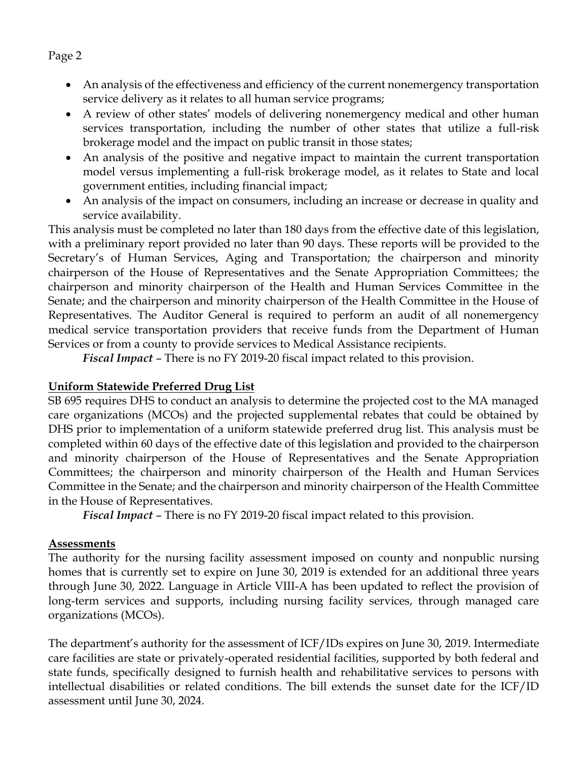• An analysis of the effectiveness and efficiency of the current nonemergency transportation service delivery as it relates to all human service programs;

- A review of other states' models of delivering nonemergency medical and other human services transportation, including the number of other states that utilize a full-risk brokerage model and the impact on public transit in those states;
- An analysis of the positive and negative impact to maintain the current transportation model versus implementing a full-risk brokerage model, as it relates to State and local government entities, including financial impact;
- An analysis of the impact on consumers, including an increase or decrease in quality and service availability.

This analysis must be completed no later than 180 days from the effective date of this legislation, with a preliminary report provided no later than 90 days. These reports will be provided to the Secretary's of Human Services, Aging and Transportation; the chairperson and minority chairperson of the House of Representatives and the Senate Appropriation Committees; the chairperson and minority chairperson of the Health and Human Services Committee in the Senate; and the chairperson and minority chairperson of the Health Committee in the House of Representatives. The Auditor General is required to perform an audit of all nonemergency medical service transportation providers that receive funds from the Department of Human Services or from a county to provide services to Medical Assistance recipients.

*Fiscal Impact* – There is no FY 2019-20 fiscal impact related to this provision.

### **Uniform Statewide Preferred Drug List**

SB 695 requires DHS to conduct an analysis to determine the projected cost to the MA managed care organizations (MCOs) and the projected supplemental rebates that could be obtained by DHS prior to implementation of a uniform statewide preferred drug list. This analysis must be completed within 60 days of the effective date of this legislation and provided to the chairperson and minority chairperson of the House of Representatives and the Senate Appropriation Committees; the chairperson and minority chairperson of the Health and Human Services Committee in the Senate; and the chairperson and minority chairperson of the Health Committee in the House of Representatives.

*Fiscal Impact* – There is no FY 2019-20 fiscal impact related to this provision.

# **Assessments**

The authority for the nursing facility assessment imposed on county and nonpublic nursing homes that is currently set to expire on June 30, 2019 is extended for an additional three years through June 30, 2022. Language in Article VIII-A has been updated to reflect the provision of long-term services and supports, including nursing facility services, through managed care organizations (MCOs).

The department's authority for the assessment of ICF/IDs expires on June 30, 2019. Intermediate care facilities are state or privately-operated residential facilities, supported by both federal and state funds, specifically designed to furnish health and rehabilitative services to persons with intellectual disabilities or related conditions. The bill extends the sunset date for the ICF/ID assessment until June 30, 2024.

## Page 2